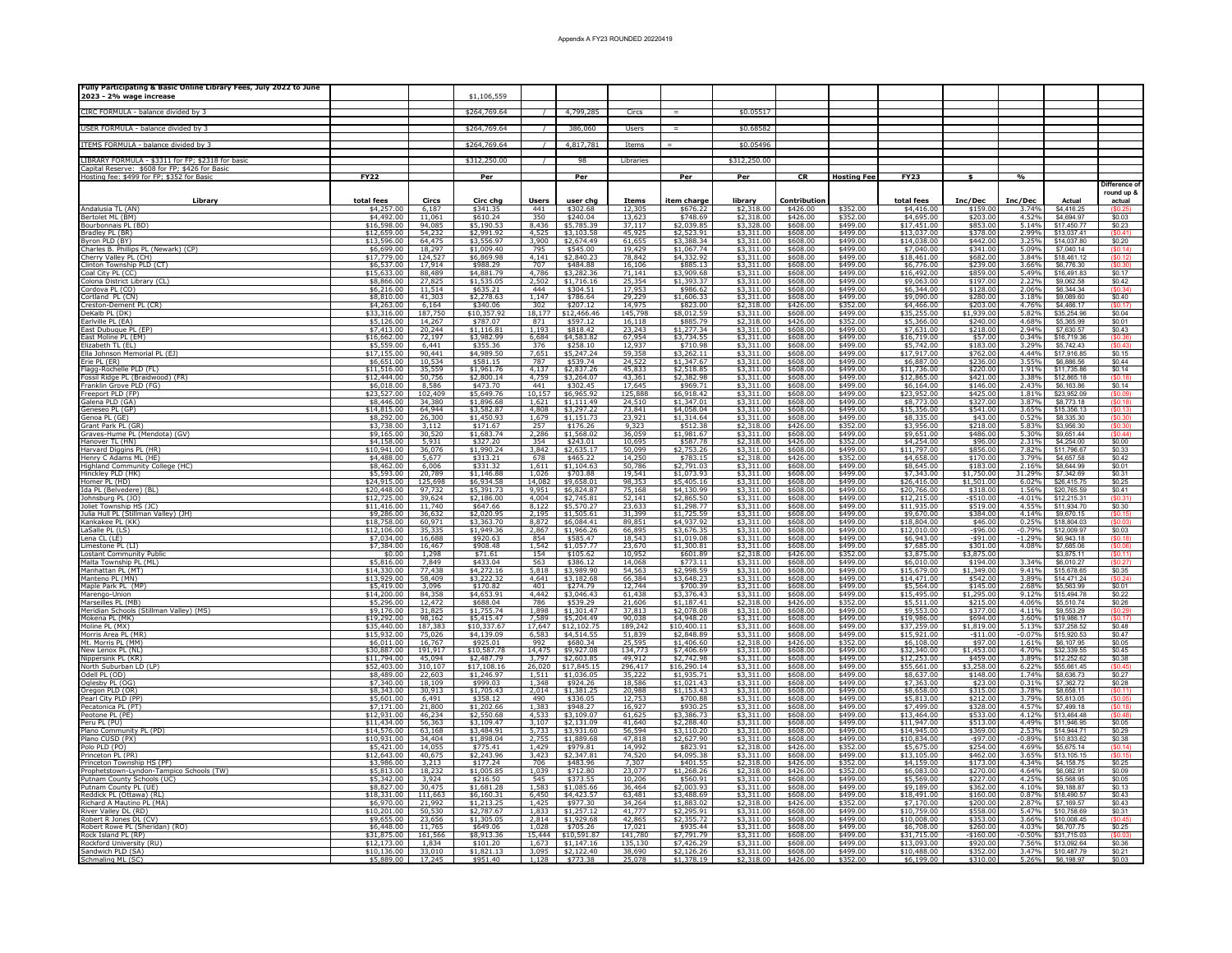| Fully Participating & Basic Online Library Fees, July 2022 to June<br>2023 - 2% wage increase |                            |                                   | \$1,106,559               |               |                                                                     |                                      |                                        |                                          |                      |                      |                                            |                                   |                          |                            |                               |
|-----------------------------------------------------------------------------------------------|----------------------------|-----------------------------------|---------------------------|---------------|---------------------------------------------------------------------|--------------------------------------|----------------------------------------|------------------------------------------|----------------------|----------------------|--------------------------------------------|-----------------------------------|--------------------------|----------------------------|-------------------------------|
|                                                                                               |                            |                                   |                           |               |                                                                     |                                      |                                        |                                          |                      |                      |                                            |                                   |                          |                            |                               |
| CIRC FORMULA - balance divided by 3                                                           |                            |                                   | \$264,769.64              |               | 4,799,285                                                           | Circs                                | $=$                                    | \$0.05517                                |                      |                      |                                            |                                   |                          |                            |                               |
| USER FORMULA - balance divided by 3                                                           |                            |                                   | \$264,769.64              |               | 386,060                                                             | Users                                | $=$ $\,$                               | \$0.68582                                |                      |                      |                                            |                                   |                          |                            |                               |
| ITEMS FORMULA - balance divided by 3                                                          |                            |                                   | \$264,769.64              |               | 4,817,781                                                           | Items                                |                                        | \$0.05496                                |                      |                      |                                            |                                   |                          |                            |                               |
|                                                                                               |                            |                                   |                           |               |                                                                     |                                      |                                        |                                          |                      |                      |                                            |                                   |                          |                            |                               |
| IBRARY FORMULA - \$3311 for FP; \$2318 for basic                                              |                            |                                   | \$312,250.00              |               | 98                                                                  | Libraries                            |                                        | \$312,250.00                             |                      |                      |                                            |                                   |                          |                            |                               |
| Capital Reserve: \$608 for FP; \$426 for Basic<br>Hosting fee: \$499 for FP; \$352 for Basic  | FY22                       |                                   | Per                       |               | Per                                                                 |                                      | Per                                    | Per                                      | CR                   | <b>Hosting Fee</b>   | FY23                                       | $\mathbf{s}$                      | $\frac{a}{b}$            |                            |                               |
|                                                                                               |                            |                                   |                           |               |                                                                     |                                      |                                        |                                          |                      |                      |                                            |                                   |                          |                            | Difference o<br>round up 8    |
| Library                                                                                       | total fees                 | Circs                             | Circ chg                  | <u>Users</u>  | user chg                                                            | Items                                | <u>item charge</u>                     | library                                  | <b>Contribution</b>  |                      | total fees                                 | Inc/Dec                           | Inc/Dec                  | <b>Actual</b>              | actual                        |
| Andalusia TL (AN)<br>Bertolet ML (BM)                                                         | \$4,257.00<br>\$4,492.00   | 6,187<br>11,061                   | \$341.35<br>\$610.24      | 441           | \$302.68                                                            | 12,305                               | \$676.22<br>\$748.69                   | \$2,318.00                               | \$426.00<br>\$426.00 | \$352.00<br>\$352.00 | \$4,416.00                                 | \$159.00<br>\$203.00              | 3.74%<br>4.52%           | \$4,416.25<br>\$4,694.97   | \$0.03                        |
| Bourbonnais PL (BD)                                                                           | \$16,598.00                | 94,085                            | \$5,190.53                |               | 350 \$240.04<br>8,436 \$5,785.39                                    | $\frac{13,623}{37,117}$              | \$2,039.85                             | $$2,318.00$<br>$$3,328.00$               | \$608.00             | \$499.00             | $\frac{$4,695.00}{$17,451.00}$             | \$853.00                          | 5.14%                    | \$17,450.77                | \$0.23                        |
| Fradley PL (BR)<br>lyron PLD (BY)                                                             | \$12,659.00<br>\$13,596.00 | 54,232<br>64,475                  | \$2,991.92<br>\$3,556.97  | 3,900         | 4,525 \$3,103.58<br>\$2,674.49                                      | 45,925<br>61,655                     | \$2,523.91<br>\$3,388.34               | \$3,311.00<br>\$3,311.00                 | \$608.00<br>\$608.00 | \$499.00<br>\$499.00 | \$13,037.00<br>\$14,038.00                 | \$378.00<br>\$442.00              | 2.99%<br>3.25%           | \$13,037.41<br>\$14,037.80 | (S0.41)<br>\$0.20             |
| Charles B. Phillips PL (Newark) (CP)                                                          | \$6,699.00                 | 18,297<br>124,527                 | \$1,009.40                | 795           | \$545.00                                                            | 19,429                               | $$1,067.74$<br>$$4,332.92$             | $\frac{1}{2}$ , 3, 311.00                | \$608.00             | \$499.00             | \$7,040.00                                 | \$341.00                          | 5.09%                    | \$7,040.14                 | (S0.14)                       |
| herry Valley PL (CH)<br>:linton Township PLD (CT)                                             | \$17,779.00<br>\$6,537.00  | 17,914                            | \$6,869.98<br>\$988.29    | 4,141<br>707  | \$2,840.23<br>\$484.88                                              | 78,842<br>16,106                     | \$885.13                               | \$3,311.00                               | \$608.00<br>\$608.00 | \$499.00<br>\$499.00 | \$18,461.00<br>\$6,776.00                  | \$682.00<br>\$239.00              | 3.84%<br>3.66%           | \$18,461.12<br>\$6,776.30  | (\$0.30                       |
| Coal City PL (CC)                                                                             | \$15,633.00                | 88,489                            | \$4,881.79                | 4.786         | \$3,282.36                                                          | 71,141                               | \$3,909.68                             | \$3,311.00                               | \$608.00             | \$499.00             | \$16.492.00                                | \$859.00                          | 5.49%                    | \$16,491.83                | \$0.17                        |
| Colona District Library (CL)<br>Cordova PL (CO)                                               | \$8,866,00<br>\$6.216.00   | 27,825<br>11.514                  | \$1,535.05<br>\$635.21    | 2,502<br>444  | $$1,716.16$<br>$$304.51$                                            | 25,354                               | \$1,393.37<br>\$986.62                 | $$3,311.00$<br>$$3,311.00$               | \$608.00<br>\$608.00 | \$499.00<br>\$499.00 | \$9,063.00<br>\$6,344.00                   | \$197.00<br>\$128.00              | 2.22%<br>2.06%           | \$9,062.58<br>\$6,344,34   | \$0.42                        |
| Cortland PL (CN)                                                                              | \$8,810.00                 | 41,303                            | \$2,278.63                |               | $1,147$ \$786.64                                                    | 29,229                               | \$1,606.33                             | \$3,311.00                               | \$608.00             | \$499.00             | \$9,090.00                                 | \$280.00                          | 3.18%                    | \$9,089.60                 | \$0.40                        |
| Creston-Dement PL (CR)<br>DeKalb PL (DK)                                                      | \$4,263.00<br>\$33,316.00  | 6,164<br>187,750                  | \$340.06<br>\$10,357.92   | 302<br>18,177 | \$207.12<br>\$12,466.46                                             | 14,975<br>145,798                    | \$823.00<br>\$8,012.59                 | \$2,318.00<br>\$3,311.00                 | \$426.00<br>\$608.00 | \$352.00<br>\$499.00 | \$4,466.00<br>\$35,255.00                  | \$203.00<br>\$1,939.00            | 4.76%<br>5.82%           | \$4,466.17<br>\$35,254.96  | (S0.17)<br>\$0.04             |
| Earlville PL (EA                                                                              | \$5,126.00                 | 14,267                            | \$787.07                  | 871           | \$597.12                                                            | 16,118                               | \$885.79                               | \$2,318.00                               | \$426.00             | \$352.00             | \$5,366.00                                 | \$240.00                          | 4.68%                    | \$5,365.99                 | \$0.01                        |
| ast Dubuque PL (EP)<br>ast Moline PL (EM)                                                     | \$7,413.00<br>\$16,662.00  | 20,244<br>72,197                  | \$1,116.81<br>\$3,982.99  | 1,193         | \$818.42<br>6,684 \$4,583.82                                        | 23,243<br>67,954                     | \$1,277.34<br>\$3,734.55               | \$3,311.00<br>\$3,311.00                 | \$608.00<br>\$608.00 | \$499.00<br>\$499.00 | \$7,631.00<br>\$16,719.00                  | \$218.00<br>\$57.00               | 2.94%<br>0.34%           | \$7,630.57<br>\$16,719.36  | \$0.43<br>(\$0.36)            |
| lizabeth TL (EL)                                                                              | \$5,559.00                 | 6,441                             | \$355.36                  | 376           | \$258.10                                                            |                                      | \$710.98                               | \$3,311.00                               | \$608.00             | \$499.00             | \$5,742.00                                 | \$183.00                          | 3.29%                    | \$5,742.43                 | \$0.43                        |
| Ella Johnson Memorial PL (EJ)<br>irie PL (ER)                                                 | \$17,155.00<br>\$6,651.00  | 90,441<br>10,534                  | \$4,989.50<br>\$581.15    | 7.651<br>787  | $$5,247.24$<br>$$539.74$                                            | 12,937<br>59,358<br>24,522           | $$3,262.11$<br>$$1,347.67$             | $$3,311.00$<br>$$3,311.00$               | \$608.00<br>\$608.00 | \$499.00<br>\$499.00 | \$17,917.00<br>\$6,887.00                  | \$762.00<br>\$236.00              | 4.44%<br>3.55%           | \$17,916.85<br>\$6,886.56  | \$0.15<br>\$0.44              |
| lagg-Rochelle PLD (FL)                                                                        | \$11,516.00                | 35,559                            | \$1,961.76                | 4.759         | 4,137 \$2,837.26                                                    | 45,833                               | \$2,518.85                             | \$3,311.00                               | \$608.00             | \$499.00             | \$11,736.00                                | \$220.00                          | 1.91%                    | \$11,735.86                | \$0.14                        |
| ossil Ridge PL (Braidwood) (FR)<br>ranklin Grove PLD (FG)                                     | \$12,444.00<br>\$6,018.00  | 50,756<br>$\frac{8,586}{102,409}$ | \$2,800.14<br>\$473.70    |               | \$3,264.07<br>$\frac{441}{10,157}$ \$302.45<br>10,157 \$6,965.92    | 43,361<br>$\frac{17,645}{125,888}$   | \$2,382.98<br>\$969.71                 | \$3,311.00<br>$$3,311.00$<br>$$3,311.00$ | \$608.00<br>\$608.00 | \$499.00<br>\$499.00 | \$12,865.00<br>$$6,164.00$<br>$$23,952.00$ | \$421.00<br>\$146.00              | 3.38%<br>2.43%           | \$12,865.18<br>\$6,163.86  | \$0.14                        |
| Freeport PLD (FP)<br>Galena PLD (GA)                                                          | \$23,527.00<br>\$8,446.00  | 34,380                            | \$5,649.76<br>\$1,896.68  |               |                                                                     | 24,510                               | \$6,918.42<br>\$1,347.01               | \$3,311.00                               | \$608.00<br>\$608.00 | \$499.00<br>\$499.00 | \$8,773.00                                 | \$425.00<br>\$327.00              | 1.81%<br>3.87%           | \$23,952.09<br>\$8,773.18  | \$0.09<br>(S <sub>0</sub> 18) |
| Geneseo PL (GP)                                                                               | \$14,815.00                | 64,944                            | \$3,582.87                |               | 1,621 \$1,111.49<br>4,808 \$3,297.22                                | 73,841                               | \$4,058.04                             | \$3,311.00                               | \$608.00             | \$499.00             | \$15,356.00                                | \$541.00                          | 3.65%                    | \$15,356.13                | (\$0.13)                      |
| Genoa PL (GE)<br>Grant Park PL (GR)                                                           | \$8,292.00<br>\$3,738.00   | 26,300<br>3,112                   | \$1,450.93<br>\$171.67    | 1,679<br>257  | \$1,151.73<br>\$176.26                                              | 23,921<br>9,323                      | \$1,314.64<br>\$512.38                 | \$3,311.00<br>\$2,318.00                 | \$608.00<br>\$426.00 | \$499.00<br>\$352.00 | \$8,335.00<br>\$3,956.00                   | \$43.00<br>\$218.00               | 0.52%<br>5.83%           | \$8,335.30<br>\$3,956.30   | (\$0.30)<br>(\$0.30)          |
| Graves-Hume PL (Mendota) (GV)                                                                 | \$9,165.00                 | 30,520                            | \$1,683.74                | 2,286         | \$1,568.02                                                          | 36,059                               | \$1,981.67                             | \$3,311.00                               | \$608.00             | \$499.00             | \$9,651.00                                 | \$486.00                          | 5.30%                    | \$9,651.44                 |                               |
| lanover TL (HN)<br>Harvard Diggins PL (HR)                                                    | \$4,158.00<br>\$10,941.00  | 5,931                             | \$327.20<br>\$1,990.24    | 354<br>3,842  | \$243.01                                                            | 10,695                               | \$587.78<br>\$2,753.26                 | \$2,318.00                               | \$426.00<br>\$608.00 | \$352.00<br>\$499.00 | \$4,254.00<br>\$11,797.00                  | \$96.00<br>\$856.00               | 2.31%<br>7.82%           | \$4,254.00<br>\$11,796.67  | \$0.00                        |
| Henry C Adams ML (HE)                                                                         | \$4,488.00                 | 36,076<br>5,677                   | \$313.21                  | 678           | \$2,635.17<br>\$465.22                                              | 50,099<br>14,250<br>50,786           | \$783.15                               | \$3,311.00<br>\$2,318.00                 | \$426.00             | \$352.00             | \$4,658.00                                 | \$170.00                          | 3.79%                    | \$4 657 58                 | $$0.33$<br>$$0.42$            |
| Highland Community College (HC)<br>Hinckley PLD (HK)                                          | \$8,462.00<br>\$5,593.00   | 6,006<br>20,789                   | \$331.32<br>\$1,146.88    | 1,026         | 1,611 \$1,104.63<br>\$703.88                                        | 19,541                               | \$2,791.03<br>\$1,073.93               | \$3,311.00<br>\$3,311.00                 | \$608.00<br>\$608.00 | \$499.00<br>\$499.00 | \$8,645.00<br>\$7,343.00                   | \$183.00<br>\$1,750.00            | 2.16%<br>31.29%          | \$8,644.99<br>\$7,342.69   | $$0.01$<br>$$0.31$            |
| Homer PL (HD)                                                                                 | \$24,915.00                | 125,698                           | \$6,934.58                |               | 14,082 \$9,658.01                                                   |                                      | \$5,405.16                             | \$3,311.00                               | \$608.00             | \$499.00             | \$26,416.00                                | \$1,501.00                        | 6.02%                    | \$26,415.75                | \$0.25                        |
| da PL (Belvedere) (BL)<br>ohnsburg PL (JO)                                                    | \$20,448.00<br>\$12,725.00 | 97,732<br>39,624                  | \$5,391.73<br>\$2,186.00  |               | 9,951 \$6,824.87<br>4,004 \$2,745.81                                | 98,353<br>75,168<br>52,141<br>23,633 | \$4,130.99<br>\$2,865.50               | $\frac{$3,311.00}{$3,311.00}$            | \$608.00<br>\$608.00 | \$499.00<br>\$499.00 | \$20,766.00<br>\$12,215.00                 | \$318.00<br>$-$ \$510.00          | 1.56%<br>$-4.01%$        | \$20,765.59<br>\$12,215.31 | \$0.41                        |
| oliet Township HS (JC)                                                                        | \$11,416.00                | 11,740                            | \$647.66                  |               | 8,122 \$5,570.27                                                    |                                      | \$1,298.77                             | \$3,311.00                               | \$608.00             | \$499.00             | \$11,935.00                                | \$519.00                          | 4.55%                    | \$11,934.70                | \$0.30                        |
| ulia Hull PL (Stillman Valley) (JH)<br>Kankakee PL (KK)                                       | \$9,286.00<br>\$18,758.00  | 36,632<br>60,971                  | \$2,020.95<br>\$3,363.70  |               | 2,195 \$1,505.61<br>8,872 \$6,084.41                                | 31,399<br>89,851                     | \$1,725.59<br>\$4,937.92               | \$3,311.00<br>\$3,311.00                 | \$608.00<br>\$608.00 | \$499.00<br>\$499.00 | \$9,670.00<br>\$18,804.00                  | \$384.00<br>\$46.00               | 4.14%<br>0.25%           | \$9,670.15<br>\$18,804.03  | (\$0.15)                      |
| aSalle PL (LS)                                                                                | \$12,106.00                | 35,335                            | \$1,949.36                |               | 2,867 \$1,966.26                                                    | 66,895                               | \$3,676.35                             | \$3,311.00                               | \$608.00             | \$499.00             | \$12,010.00                                | $-$ \$96.00                       | $-0.79\%$                | \$12,009.97                | \$0.03                        |
| Lena CL (LE<br>Limestone PL (LI)                                                              | \$7,034.00<br>\$7,384.00   | 16,688<br>16,467                  | \$920.63<br>\$908.48      | 854<br>1,542  | \$585.47<br>\$1,057.77                                              | 18,543<br>23,670                     | \$1,019.08<br>\$1,300.81               | $$3,311.00$<br>\$3,311.00                | \$608.00<br>\$608.00 | \$499.00<br>\$499.00 | \$6,943.00<br>\$7,685.00                   | $-$ \$91.00<br>\$301.00           | $-1.29%$<br>4.08%        | \$6,943.18<br>\$7,685.06   | (\$0.18)<br>(S0.06)           |
| <b>Lostant Community Public</b>                                                               | \$0.00                     | 1,298                             | \$71.61<br>\$433.04       | 154<br>563    | \$105.62                                                            | 10,952                               | \$601.89<br>\$773.11                   | \$2,318.00                               | \$426.00             | \$352.00             | \$3,875.00                                 | \$3,875.00                        | 3.34%                    | \$3,875.11                 | $($ \$0.11)                   |
| Ialta Township PL (ML)<br>(anhattan PL (MT)                                                   | \$5,816.00<br>\$14,330.00  | 7,849<br>77,438                   | \$4,272.16                | 5.818         | \$386.12<br>\$3,989.90                                              | 14,068<br>54,563                     | \$2.998.59                             | \$3,311.00<br>\$3,311.00                 | \$608.00<br>\$608.00 | \$499.00<br>\$499.00 | \$6,010.00<br>\$15,679.00                  | \$194.00<br>\$1,349.00            | 9.41%                    | \$6,010.27<br>\$15,678,65  | \$0.35                        |
| Manteno PL (MN)<br>Maple Park PL (MP)                                                         | \$13,929.00<br>\$5,419.00  | 58,409                            | \$3,222.32<br>\$170.82    | 401           | 4,641 \$3,182.68                                                    | 66,384                               | \$3,648.23<br>\$700.39                 | \$3,311.00                               | \$608.00<br>\$608.00 | \$499.00<br>\$499.00 | \$14,471.00                                | \$542.00                          | 3.89%<br>2.68%           | \$14,471.24<br>\$5,563.99  | \$0.01                        |
| Marengo-Unio                                                                                  | \$14,200.00                | 3,096<br>84,358                   | \$4,653.91                | 4,442         | \$274.79<br>\$3,046.43                                              | 12,744<br>61,438                     | \$3,376.43                             | \$3,311.00<br>\$3,311.00                 | \$608.00             | \$499.00             | \$5,564.00<br>\$15,495.00                  | \$145.00<br>\$1,295.00            | 9.12%                    | \$15,494.78                | \$0.22                        |
| larseilles PL (MB)<br>leridian Schools (Stillman Valley) (MS)                                 | \$5,296.00<br>\$9,176.00   | 12,472<br>31,825                  | \$688.04<br>\$1,755.74    | 786           | \$539.29<br>1,898 \$1,301.47                                        | 21,606<br>37,813                     | \$1,187.41<br>\$2,078.08               | \$2,318.00<br>\$3,311.00                 | \$426.00<br>\$608.00 | \$352.00<br>\$499.00 | \$5,511.00<br>\$9,553.00                   | \$215.00<br>\$377.00              | 4.06%<br>4.11%           | \$5,510.74<br>\$9,553.29   | \$0.26<br>(\$0.29             |
| lokena PL (MK)                                                                                | \$19,292.00                | 98,162                            | \$5,415.47                |               | 7,589 \$5,204.49                                                    | 90,038                               | \$4,948.20                             | \$3,311.00                               | \$608.00             | \$499.00             | \$19,986.00                                | \$694.00                          | 3.60%                    | \$19,986.17                | (\$0.17)                      |
| foline PL (MX)<br>1orris Area PL (MR)                                                         | \$35,440.00<br>\$15,932.00 | 187,383<br>75,026                 | \$10,337.67<br>\$4,139.09 |               | 17,647 \$12,102.75<br>6,583 \$4,514.55                              | 189,242<br>51,839                    | \$10,400.11<br>\$2,848.89              | \$3,311.00<br>\$3,311.00                 | \$608.00<br>\$608.00 | \$499.00<br>\$499.00 | \$37,259.00<br>\$15,921.00                 | \$1,819.00<br>$-$11.00$           | 5.13%<br>$-0.07%$        | \$37,258.52<br>\$15,920.53 | \$0.48<br>\$0.47              |
| 1t. Morris PL (MM)                                                                            | \$6,011.00                 | 16,767                            | \$925.01                  | 992           | \$680.34                                                            | 25,595<br>134,773                    | \$1,406.60                             | $$2,318.00$<br>$$3,311.00$               | \$426.00             | \$352.00             | \$6,108.00                                 | \$97.00                           | 1.61%                    | \$6,107.95                 | \$0.05                        |
| New Lenox PL (NL)<br>Nippersink PL (KR)                                                       | \$30,887.00<br>\$11,794.00 | 191,917<br>45,094                 | \$10,587.78<br>\$2,487.79 |               | 14,475 \$9,927.08<br>3,797 \$2,603.85                               | 49.912                               | \$7,406.69<br>\$2,742.98               | \$3,311.00                               | \$608.00<br>\$608.00 | \$499.00<br>\$499.00 | \$32,340.00<br>\$12,253.00                 | \$1,453.00<br>\$459.00            | 4.70%<br>3.89%           | \$32,339.55<br>\$12,252.62 | \$0.45<br>\$0.38              |
| North Suburban LD (LP                                                                         | \$52,403.00<br>\$8,489.00  | $\frac{310,107}{22,603}$          | \$17,108.16               |               | 26,020 \$17,845.15                                                  | 296,417<br>35,222                    | \$16,290.14                            | $\frac{$3,311.00}{$3,311.00}$            | \$608.00             | \$499.00             | \$55,661.00                                | \$3,258.00                        | 6.22%                    | \$55,661.45                | \$0.27                        |
| Odell PL (OD)<br>Oglesby PL (OG                                                               | \$7,340.00                 | 18,109                            | \$1,246.97<br>\$999.03    |               | 1,511 \$1,036.05<br>1,348 \$924.26                                  | 18,586                               | \$1,935.71<br>\$1,021.43               | \$3,311.00                               | \$608.00<br>\$608.00 | \$499.00<br>\$499.00 | \$8,637.00<br>\$7,363.00                   | \$148.00<br>\$23.00               | 1.74%<br>0.31%           | \$8,636.73<br>\$7,362.72   | \$0.28                        |
| regon PLD (OR)                                                                                | \$8,343.00                 | 30,913                            | \$1,705.43                |               | 2,014 \$1,381.25                                                    | 20,988                               | \$1,153.43                             | \$3,311.00                               | \$608.00             | \$499.00             | \$8,658.00                                 | \$315.00                          | 3.78%                    | \$8,658.11                 | (S0.11)                       |
| earl City PLD (PP)<br>ecatonica PL (PT)                                                       | \$5,601.00<br>\$7,171.00   | $\frac{6,491}{21,800}$            | \$358.12<br>\$1,202.66    |               | $\begin{array}{r l}\n490 & 5336.05 \\ 1,383 & 5948.27\n\end{array}$ | $\frac{12,753}{16,927}$              | \$700.88<br>\$930.25                   | $$3,311.00$<br>$$3,311.00$               | \$608.00<br>\$608.00 | \$499.00<br>\$499.00 | $$5,813.00$<br>$$7,499.00$                 | \$212.00<br>\$328.00              | 3.79%<br>4.57%           | \$5,813.05<br>\$7,499.18   | $($ \$0.05) $($ \$0.18)       |
| Peotone PL (PE)                                                                               | \$12,931.00                | 46,234                            | \$2,550.68                |               | 4,533 \$3,109.07                                                    | 61,625                               | \$3,386.73                             | \$3,311.00                               | \$608.00             | \$499.00             | \$13,464.00                                | \$533.00                          | 4.12%                    | \$13,464.48                |                               |
| eru PL (PU)<br>Plano Community PL (PD)                                                        | \$11,434.00<br>\$14,576.00 | 56,363                            | \$3,109.47<br>\$3,484.91  |               | 3,107 \$2,131.09                                                    | 41,640                               | \$2,288.40                             | \$3,311.00                               | \$608.00<br>\$608.00 | \$499.00<br>\$499.00 | \$11,947.00<br>\$14,945.00                 | \$513.00                          | 4.49%<br>2.53%<br>-0.89% | \$11,946.95<br>\$14,944.71 | \$0.05                        |
| Plano CUSD (PX)<br>Polo PLD (PO)                                                              | \$10,931.00<br>\$5,421.00  | $\frac{63,168}{34,404}$<br>14.055 | \$1,898.04<br>\$775.41    |               | $\frac{5,733}{2,755}$ \$3,931.60<br>$1,429$ \$979.81                | $\frac{56,594}{47,818}$              | $$3,110.20$<br>$$2,627.90$<br>\$823.91 | $$3,311.00$<br>$$3,311.00$               | \$608.00<br>\$426.00 | \$499.00<br>\$352.00 | \$10,834.00                                | $$369.00$<br>-\$97.00<br>\$254.00 | 4.69%                    | \$10,833.62<br>\$5,675.14  | $$0.29$<br>$$0.38$            |
| Princeton PL (PR)                                                                             | \$12,643.00                | 40,675                            | \$2,243.96                |               | 3,423 \$2,347.81                                                    | $\frac{14,992}{74,520}$              | \$4,095.38                             | \$2,318.00<br>\$3,311.00                 | \$608.00             | \$499.00             | $$5,675.00$<br>\$13,105.00                 | \$462.00                          | 3.65%                    | \$13 105 15                | $($ \$0.14)<br>(\$0.15)       |
| Princeton Township HS (PF)                                                                    | \$3,986.00                 | 3,213                             | \$177.24                  | 706           | \$483.96                                                            | 7,307                                | \$401.55                               | \$2,318.00                               | \$426.00             | \$352.00             | \$4,159.00                                 | \$173.00                          | 4.34%<br>4.64%           | \$4,158.75                 | \$0.25                        |
| Prophetstown-Lyndon-Tampico Schools (TW)<br>Putnam County Schools (UC)                        | \$5,813.00<br>\$5.342.00   | 18,232<br>3,924                   | \$1,005.85<br>\$216.50    | 1,039<br>545  | \$712.80<br>\$373.55                                                | $\frac{23,077}{10,206}$              | \$1,268.26<br>\$560.91                 | \$2,318.00<br>\$3,311.00                 | \$426.00<br>\$608.00 | \$352.00<br>\$499.00 | $$6,083.00$<br>$$5,569.00$                 | \$270.00<br>\$227.00              | 4.25%                    | \$6,082.91<br>\$5,568.95   | \$0.09<br>\$0.05              |
| Putnam County PL (UE)<br>teddick PL (Ottawa) (RL)                                             | \$8,827.00<br>\$18,331.00  | 30,475<br>111,663                 | \$1,681.28<br>\$6,160.31  |               | 1,583 \$1,085.66<br>6,450 \$4,423.57                                | 36,464<br>63,481                     | \$2,003.93<br>\$3,488.69               | \$3,311.00<br>\$3,311.00                 | \$608.00<br>\$608.00 | \$499.00<br>\$499.00 | \$9,189.00<br>\$18,491.00                  | \$362.00<br>\$160.00              | 4.10%<br>0.87%           | \$9,188.87<br>\$18,490.57  | \$0.13<br>\$0.43              |
| lichard A Mautino PL (MA)                                                                     | \$6,970.00                 | $\frac{21,992}{50,530}$           | \$1,213.25                | 1.425         | \$977.30                                                            | 34,264                               | \$1,883.02                             | \$2,318.00                               | \$426.00             | \$352.00             | $$7,170.00$<br>\$10,759.00                 | \$200.00                          | 2.87%                    | \$7,169.57                 | \$0.43                        |
| (RD) iver Valley DL<br>tobert R Jones DL (CV)                                                 | \$10,201.00<br>\$9,655.00  | 23,656                            | \$2,787.67<br>\$1,305.05  |               | 1,833 \$1,257.12<br>2,814 \$1,929.68                                | 41,777<br>42,865                     | \$2,295.91<br>\$2,355.72               | \$3,311.00<br>\$3,311.00                 | \$608.00<br>\$608.00 | \$499.00<br>\$499.00 | \$10,008.00                                | \$558.00<br>\$353.00              | 5.47%<br>3.66%           | \$10,758.69<br>\$10,008.45 | \$0.31<br>(S0.45)             |
| Robert Rowe PL (Sheridan) (RO)                                                                | \$6,448.00                 | 11,765                            | \$649.06                  |               | 1,028 \$705.26                                                      | 17,021                               | \$935.44                               | \$3,311.00                               | \$608.00             | \$499.00             | \$6,708.00                                 | \$260.00                          | 4.03%                    | \$6,707.75                 | \$0.25                        |
| Rock Island PL (RP).<br>Rockford University (RI                                               | \$31,875.00<br>\$12,173.00 | 161,566<br>1,834                  | $$8,913.36$<br>$$101.20$  |               | 15,444 \$10,591.87<br>1,673 \$1,147.16                              | 141,780<br>135,130                   | $\frac{$7,791.79}{$7,426.29}$          | $$3,311.00$<br>$$3,311.00$               | \$608.00<br>\$608.00 | \$499.00<br>\$499.00 | \$31,715.00<br>\$13,093.00                 | $-$160.00$<br>\$920.00            | $-0.50%$<br>7.56%        | \$31,715.03<br>\$13,092.64 | \$0.36                        |
| Sandwich PLD (SA)                                                                             | \$10,136.00                | 33,010                            | \$1,821.13                |               | 3,095 \$2,122.40                                                    | $\frac{38,690}{25,078}$              | \$2,126.26                             | \$3,311.00                               | \$608.00             | \$499.00             | \$10,488.00                                | \$352.00                          | 3.47%                    | \$10,487.79                | \$0.21                        |
| Schmaling ML (SC)                                                                             | \$5,889.00                 | 17,245                            | \$951.40                  |               | 1.128 5773.38                                                       |                                      | \$1,378.19                             | \$2,318.00                               | \$426.00             | \$352.00             | \$6,199,00                                 | \$310.00                          | 5.26%                    | \$6 198 97                 | \$0.03                        |